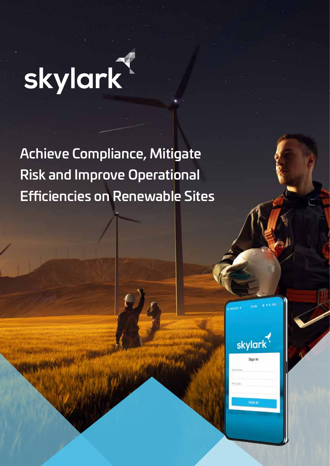# skylark

Achieve Compliance, Mitigate Risk and Improve Operational Efficiencies on Renewable Sites

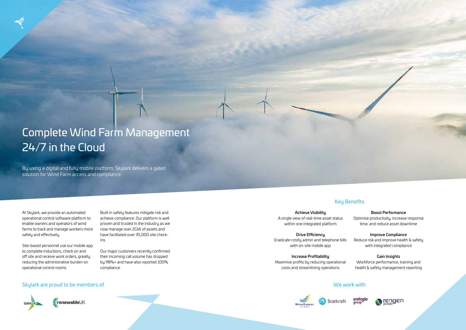At Skylark, we provide an automated operational control software platform to enable owners and operators of wind farms to track and manage workers more safely and effectively.

Site-based personnel use our mobile app to complete inductions, check on and off site and receive work orders, greatly reducing the administrative burden on operational control rooms.

Built in safety features mitigate risk and achieve compliance. Our platform is well proven and trusted in the industry as we now manage over 2GW of assets and have facilitated over 35,000 site checkins.

Our major customers recently confirmed their incoming call volume has dropped by 98%+ and have also reported 100% compliance.

## Complete Wind Farm Management 24/7 in the Cloud

By using a digital and fully mobile platform, Skylark delivers a gated solution for Wind Farm access and compliance.

#### Skylark are proud to be members of



renewableUK

Achieve Visibility A single view of real-time asset status within one integrated platform

Drive Efficiency Eradicate costly admin and telephone bills with on-site mobile app

Increase Profitability Maximise profits by reducing operational costs and streamlining operations

#### Boost Performance

Optimise productivity, increase response time, and reduce asset downtime

#### Improve Compliance

Reduce risk and improve health & safety with integrated compliance

#### Gain Insights

Workforce performance, training and health & safety management reporting





#### We work with





#### Key Benefits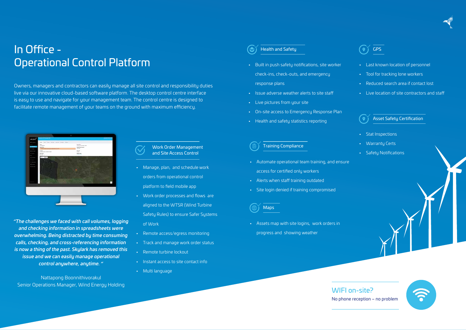## In Office - Operational Control Platform

Owners, managers and contractors can easily manage all site control and responsibility duties live via our innovative cloud-based software platform. The desktop control centre interface is easy to use and navigate for your management team. The control centre is designed to facilitate remote management of your teams on the ground with maximum efficiency.



- Automate operational team training, and ensure access for certified only workers
- Alerts when staff training outdated
- Site login denied if training compromised

### **Maps**

#### GPS  $\bullet$

- Manage, plan, and schedule work orders from operational control platform to field mobile app
- Work order processes and flows are aligned to the WTSR (Wind Turbine Safety Rules) to ensure Safer Systems of Work
- Remote access/egress monitoring
- Track and manage work order status
- Remote turbine lockout
- Instant access to site contact info
- Multi language

Work Order Management and Site Access Control

- Built in push safety notifications, site worker check-ins, check-outs, and emergency response plans
- Issue adverse weather alerts to site staff
- Live pictures from your site
- On-site access to Emergency Response Plan
- Health and safety statistics reporting

Health and Safety

#### Training Compliance

• Assets map with site logins, work orders in progress and showing weather

- Last known location of personnel
- Tool for tracking lone workers
- Reduced search area if contact lost
- Live location of site contractors and staff



## No phone reception – no problem



- Stat Inspections
- Warranty Certs
- Safety Notifications

#### Asset Safety Certification

*"The challenges we faced with call volumes, logging*

*and checking information in spreadsheets were overwhelming. Being distracted by time consuming calls, checking, and cross-referencing information is now a thing of the past. Skylark has removed this issue and we can easily manage operational control anywhere, anytime. "*

Nattapong Boonnithivorakul Senior Operations Manager, Wind Energy Holding

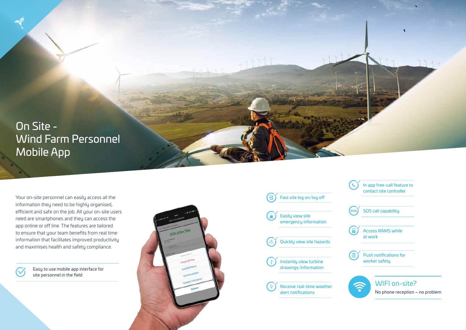On Site - Wind Farm Personnel Mobile App

Your on-site personnel can easily access all the information they need to be highly organised, efficient and safe on the job. All your on-site users need are smartphones and they can access the app online or off line. The features are tailored to ensure that your team benefits from real time information that facilitates improved productivity and maximises health and safety compliance.

> Easy to use mobile app interface for site personnel in the field







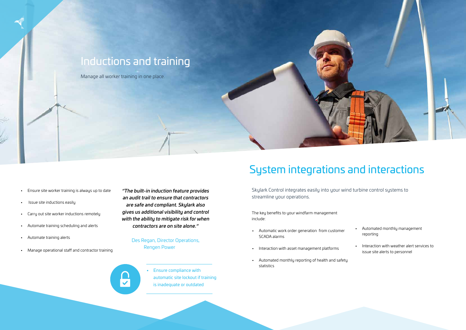

- Ensure site worker training is always up to date
- Issue site inductions easily
- Carry out site worker inductions remotely
- Automate training scheduling and alerts
- Automate training alerts
- Manage operational staff and contractor training

#### Des Regan, Director Operations, Rengen Power



*"The built-in induction feature provides an audit trail to ensure that contractors are safe and compliant. Skylark also gives us additional visibility and control with the ability to mitigate risk for when contractors are on site alone."* 

> • Ensure compliance with automatic site lockout if training is inadequate or outdated

Skylark Control integrates easily into your wind turbine control systems to streamline your operations.

## System integrations and interactions

The key benefits to your windfarm management include:

- Automatic work order generation from customer SCADA alarms
- Interaction with asset management platforms
- Automated monthly reporting of health and safety statistics
- Automated monthly management reporting
- Interaction with weather alert services to issue site alerts to personnel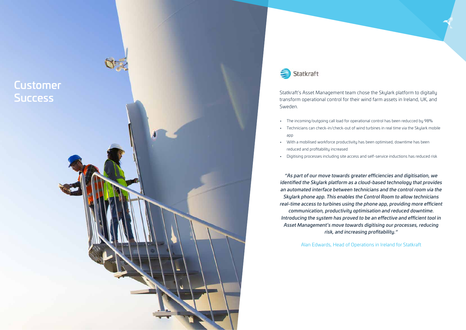Statkraft's Asset Management team chose the Skylark platform to digitally transform operational control for their wind farm assets in Ireland, UK, and Sweden. • The incoming/outgoing call load for operational control has been reducced by 98%

• Technicians can check-in/check-out of wind turbines in real time via the Skylark mobile

• With a mobilised workforce productivity has been optimised, downtime has been

- 
- app
- reduced and profitability increased
- 

• Digitising processes including site access and self-service inductions has reduced risk

*"As part of our move towards greater efficiencies and digitisation, we identified the Skylark platform as a cloud-based technology that provides an automated interface between technicians and the control room via the Skylark phone app. This enables the Control Room to allow technicians real-time access to turbines using the phone app, providing more efficient communication, productivity optimisation and reduced downtime. Introducing the system has proved to be an effective and efficient tool in Asset Management's move towards digitising our processes, reducing risk, and increasing profitability."*

Alan Edwards, Head of Operations in Ireland for Statkraft



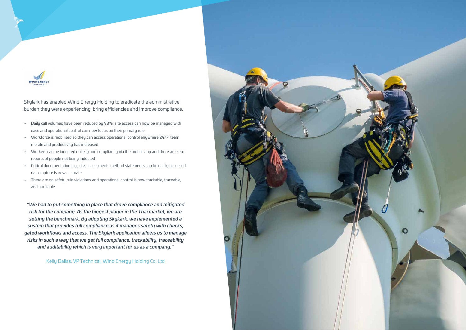

Skylark has enabled Wind Energy Holding to eradicate the administrative burden they were experiencing, bring efficiencies and improve compliance.

- Daily call volumes have been reduced by 98%, site access can now be managed with ease and operational control can now focus on their primary role
- Workforce is mobilised so they can access operational control anywhere 24/7, team morale and productivity has increased
- Workers can be inducted quickly and compliantly via the mobile app and there are zero reports of people not being inducted
- Critical documentation e.g., risk assessments method statements can be easily accessed, data capture is now accurate
- There are no safety rule violations and operational control is now trackable, traceable, and auditable

*"We had to put something in place that drove compliance and mitigated risk for the company. As the biggest player in the Thai market, we are setting the benchmark. By adopting Skykark, we have implemented a system that provides full compliance as it manages safety with checks, gated workflows and access. The Skylark application allows us to manage risks in such a way that we get full compliance, trackability, traceability and auditability which is very important for us as a company."*

Kelly Dallas, VP Technical, Wind Energy Holding Co. Ltd

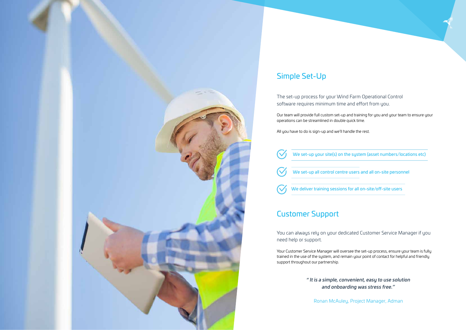

## Simple Set-Up

The set-up process for your Wind Farm Operational Control software requires minimum time and effort from you.

Our team will provide full custom set-up and training for you and your team to ensure your operations can be streamlined in double quick time.

All you have to do is sign-up and we'll handle the rest.

| $(\vee)$ | We set-up your site(s) on the                |
|----------|----------------------------------------------|
|          | $\bigvee$ We set-up all control centre u     |
|          | $\bigotimes$ We deliver training sessions fo |

## Customer Support

You can always rely on your dedicated Customer Service Manager if you need help or support.

Your Customer Service Manager will oversee the set-up process, ensure your team is fully trained in the use of the system, and remain your point of contact for helpful and friendly support throughout our partnership.

> *" It is a simple, convenient, easy to use solution and onboarding was stress free."*

Ronan McAuley, Project Manager, Adman

we system (asset numbers/locations etc)

isers and all on-site personnel

or all on-site/off-site users